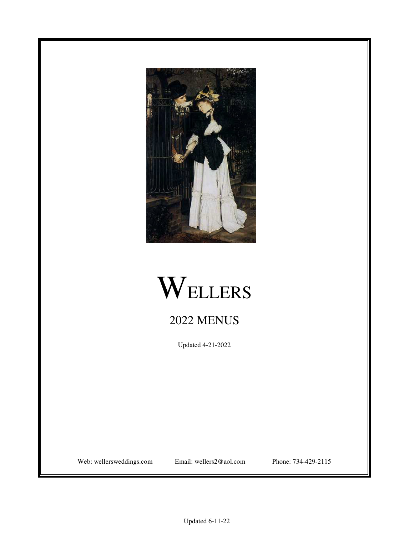



# 2022 MENUS

Updated 4-21-2022

Web: wellersweddings.com Email: wellers2@aol.com Phone: 734-429-2115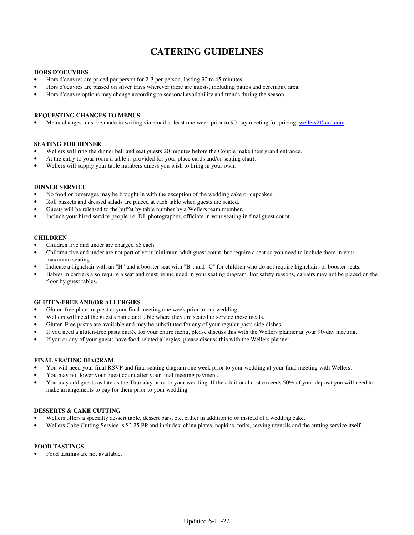## **CATERING GUIDELINES**

#### **HORS D'OEUVRES**

- Hors d'oeuvres are priced per person for 2-3 per person, lasting 30 to 45 minutes.
- Hors d'oeuvres are passed on silver trays wherever there are guests, including patios and ceremony area.
- Hors d'oeuvre options may change according to seasonal availability and trends during the season.

#### **REQUESTING CHANGES TO MENUS**

Menu changes must be made in writing via email at least one week prior to 90-day meeting for pricing. wellers2@aol.com

#### **SEATING FOR DINNER**

- Wellers will ring the dinner bell and seat guests 20 minutes before the Couple make their grand entrance.
- At the entry to your room a table is provided for your place cards and/or seating chart.
- Wellers will supply your table numbers unless you wish to bring in your own.

#### **DINNER SERVICE**

- No food or beverages may be brought in with the exception of the wedding cake or cupcakes.
- Roll baskets and dressed salads are placed at each table when guests are seated.
- Guests will be released to the buffet by table number by a Wellers team member.
- Include your hired service people i.e. DJ, photographer, officiate in your seating in final guest count.

### **CHILDREN**

- Children five and under are charged \$5 each.
- Children five and under are not part of your minimum adult guest count, but require a seat so you need to include them in your maximum seating.
- Indicate a highchair with an "H" and a booster seat with "B", and "C" for children who do not require highchairs or booster seats.
- Babies in carriers also require a seat and must be included in your seating diagram. For safety reasons, carriers may not be placed on the floor by guest tables.

#### **GLUTEN-FREE AND/OR ALLERGIES**

- Gluten-free plate: request at your final meeting one week prior to our wedding.
- Wellers will need the guest's name and table where they are seated to service these meals.
- Gluten-Free pastas are available and may be substituted for any of your regular pasta side dishes.
- If you need a gluten-free pasta entrée for your entire menu, please discuss this with the Wellers planner at your 90-day meeting.
- If you or any of your guests have food-related allergies, please discuss this with the Wellers planner.

## **FINAL SEATING DIAGRAM**

- You will need your final RSVP and final seating diagram one week prior to your wedding at your final meeting with Wellers.
- You may not lower your guest count after your final meeting payment.
- You may add guests as late as the Thursday prior to your wedding. If the additional cost exceeds 50% of your deposit you will need to make arrangements to pay for them prior to your wedding.

#### **DESSERTS & CAKE CUTTING**

- Wellers offers a specialty dessert table, dessert bars, etc. either in addition to or instead of a wedding cake.
- Wellers Cake Cutting Service is \$2.25 PP and includes: china plates, napkins, forks, serving utensils and the cutting service itself.

#### **FOOD TASTINGS**

• Food tastings are not available.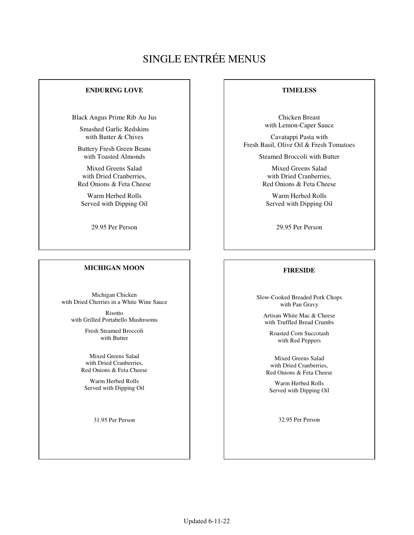# SINGLE ENTRÉE MENUS

## **ENDURING LOVE**

Black Angus Prime Rib Au Jus

Smashed Garlic Redskins with Butter & Chives

Buttery Fresh Green Beans with Toasted Almonds

Mixed Greens Salad with Dried Cranberries, Red Onions & Feta Cheese

Warm Herbed Rolls Served with Dipping Oil

29.95 Per Person

## **MICHIGAN MOON**

Michigan Chicken with Dried Cherries in a White Wine Sauce

Risotto with Grilled Portabello Mushrooms

> Fresh Steamed Broccoli with Butter

Mixed Greens Salad with Dried Cranberries, Red Onions & Feta Cheese

Warm Herbed Rolls Served with Dipping Oil

31.95 Per Person

### **TIMELESS**

Chicken Breast with Lemon-Caper Sauce

Cavatappi Pasta with Fresh Basil, Olive Oil & Fresh Tomatoes

Steamed Broccoli with Butter

Mixed Greens Salad with Dried Cranberries, Red Onions & Feta Cheese

Warm Herbed Rolls Served with Dipping Oil

29.95 Per Person

## **FIRESIDE**

Slow-Cooked Breaded Pork Chops with Pan Gravy

Artisan White Mac & Cheese with Truffled Bread Crumbs

Roasted Corn Succotash with Red Peppers

Mixed Greens Salad with Dried Cranberries, Red Onions & Feta Cheese

Warm Herbed Rolls Served with Dipping Oil

32.95 Per Person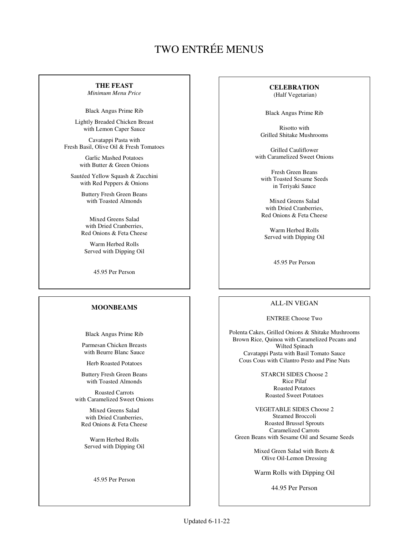## TWO ENTRÉE MENUS

## **THE FEAST**

*Minimum Menu Price*

Black Angus Prime Rib

Lightly Breaded Chicken Breast with Lemon Caper Sauce

Cavatappi Pasta with Fresh Basil, Olive Oil & Fresh Tomatoes

> Garlic Mashed Potatoes with Butter & Green Onions

Sautéed Yellow Squash & Zucchini with Red Peppers & Onions

> Buttery Fresh Green Beans with Toasted Almonds

> Mixed Greens Salad with Dried Cranberries, Red Onions & Feta Cheese

Warm Herbed Rolls Served with Dipping Oil

45.95 Per Person

## **MOONBEAMS**

Black Angus Prime Rib

Parmesan Chicken Breasts with Beurre Blanc Sauce

Herb Roasted Potatoes

Buttery Fresh Green Beans with Toasted Almonds

Roasted Carrots with Caramelized Sweet Onions

Mixed Greens Salad with Dried Cranberries, Red Onions & Feta Cheese

Warm Herbed Rolls Served with Dipping Oil

45.95 Per Person

## **CELEBRATION**

(Half Vegetarian)

Black Angus Prime Rib

Risotto with Grilled Shitake Mushrooms

Grilled Cauliflower with Caramelized Sweet Onions

Fresh Green Beans with Toasted Sesame Seeds in Teriyaki Sauce

Mixed Greens Salad with Dried Cranberries, Red Onions & Feta Cheese

Warm Herbed Rolls Served with Dipping Oil

45.95 Per Person

## ALL-IN VEGAN

#### ENTREE Choose Two

Polenta Cakes, Grilled Onions & Shitake Mushrooms Brown Rice, Quinoa with Caramelized Pecans and Wilted Spinach Cavatappi Pasta with Basil Tomato Sauce Cous Cous with Cilantro Pesto and Pine Nuts

> STARCH SIDES Choose 2 Rice Pilaf Roasted Potatoes Roasted Sweet Potatoes

VEGETABLE SIDES Choose 2 Steamed Broccoli Roasted Brussel Sprouts Caramelized Carrots Green Beans with Sesame Oil and Sesame Seeds

> Mixed Green Salad with Beets & Olive Oil-Lemon Dressing

> Warm Rolls with Dipping Oil

44.95 Per Person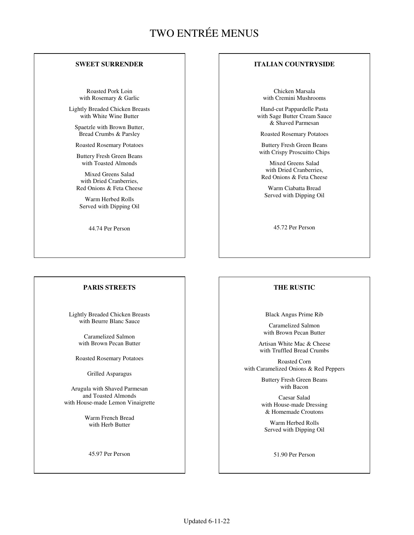## TWO ENTRÉE MENUS

## **SWEET SURRENDER**

Roasted Pork Loin with Rosemary & Garlic

Lightly Breaded Chicken Breasts with White Wine Butter

Spaetzle with Brown Butter, Bread Crumbs & Parsley

Roasted Rosemary Potatoes

Buttery Fresh Green Beans with Toasted Almonds

Mixed Greens Salad with Dried Cranberries, Red Onions & Feta Cheese

Warm Herbed Rolls Served with Dipping Oil

44.74 Per Person

### **PARIS STREETS**

Lightly Breaded Chicken Breasts with Beurre Blanc Sauce

> Caramelized Salmon with Brown Pecan Butter

Roasted Rosemary Potatoes

Grilled Asparagus

Arugula with Shaved Parmesan and Toasted Almonds with House-made Lemon Vinaigrette

> Warm French Bread with Herb Butter

45.97 Per Person

## **ITALIAN COUNTRYSIDE**

Chicken Marsala with Cremini Mushrooms

Hand-cut Pappardelle Pasta with Sage Butter Cream Sauce & Shaved Parmesan

Roasted Rosemary Potatoes

Buttery Fresh Green Beans with Crispy Proscuitto Chips

Mixed Greens Salad with Dried Cranberries, Red Onions & Feta Cheese

Warm Ciabatta Bread Served with Dipping Oil

45.72 Per Person

## **THE RUSTIC**

Black Angus Prime Rib

Caramelized Salmon with Brown Pecan Butter

Artisan White Mac & Cheese with Truffled Bread Crumbs

Roasted Corn with Caramelized Onions & Red Peppers

> Buttery Fresh Green Beans with Bacon

> Caesar Salad with House-made Dressing & Homemade Croutons

Warm Herbed Rolls Served with Dipping Oil

51.90 Per Person